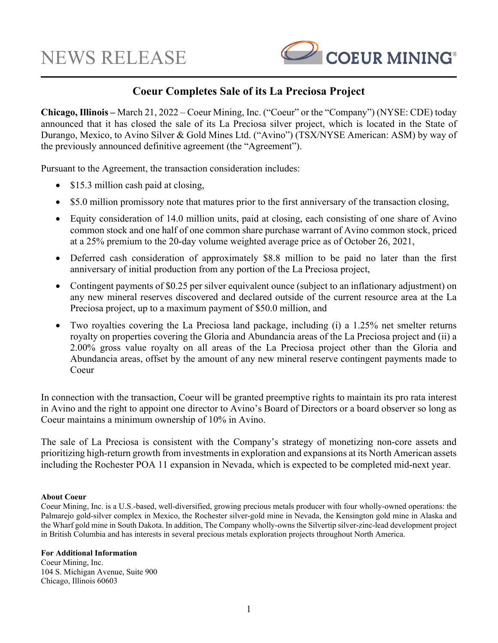

## **Coeur Completes Sale of its La Preciosa Project**

**Chicago, Illinois –** March 21, 2022 – Coeur Mining, Inc. ("Coeur" or the "Company") (NYSE: CDE) today announced that it has closed the sale of its La Preciosa silver project, which is located in the State of Durango, Mexico, to Avino Silver & Gold Mines Ltd. ("Avino") (TSX/NYSE American: ASM) by way of the previously announced definitive agreement (the "Agreement").

Pursuant to the Agreement, the transaction consideration includes:

- \$15.3 million cash paid at closing,
- \$5.0 million promissory note that matures prior to the first anniversary of the transaction closing,
- Equity consideration of 14.0 million units, paid at closing, each consisting of one share of Avino common stock and one half of one common share purchase warrant of Avino common stock, priced at a 25% premium to the 20-day volume weighted average price as of October 26, 2021,
- Deferred cash consideration of approximately \$8.8 million to be paid no later than the first anniversary of initial production from any portion of the La Preciosa project,
- Contingent payments of \$0.25 per silver equivalent ounce (subject to an inflationary adjustment) on any new mineral reserves discovered and declared outside of the current resource area at the La Preciosa project, up to a maximum payment of \$50.0 million, and
- Two royalties covering the La Preciosa land package, including (i) a 1.25% net smelter returns royalty on properties covering the Gloria and Abundancia areas of the La Preciosa project and (ii) a 2.00% gross value royalty on all areas of the La Preciosa project other than the Gloria and Abundancia areas, offset by the amount of any new mineral reserve contingent payments made to Coeur

In connection with the transaction, Coeur will be granted preemptive rights to maintain its pro rata interest in Avino and the right to appoint one director to Avino's Board of Directors or a board observer so long as Coeur maintains a minimum ownership of 10% in Avino.

The sale of La Preciosa is consistent with the Company's strategy of monetizing non-core assets and prioritizing high-return growth from investments in exploration and expansions at its North American assets including the Rochester POA 11 expansion in Nevada, which is expected to be completed mid-next year.

## **About Coeur**

Coeur Mining, Inc. is a U.S.-based, well-diversified, growing precious metals producer with four wholly-owned operations: the Palmarejo gold-silver complex in Mexico, the Rochester silver-gold mine in Nevada, the Kensington gold mine in Alaska and the Wharf gold mine in South Dakota. In addition, The Company wholly-owns the Silvertip silver-zinc-lead development project in British Columbia and has interests in several precious metals exploration projects throughout North America.

## **For Additional Information**

Coeur Mining, Inc. 104 S. Michigan Avenue, Suite 900 Chicago, Illinois 60603